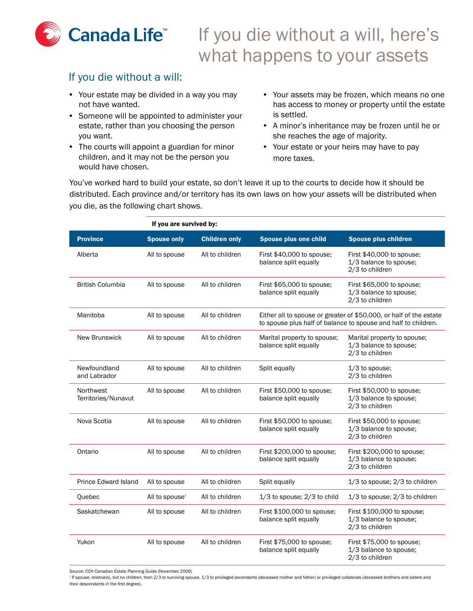

## If you die without a will, here's what happens to your assets

## If you die without a will:

- Your estate may be divided in a way you may not have wanted.
- Someone will be appointed to administer your estate, rather than you choosing the person you want.
- The courts will appoint a guardian for minor children, and it may not be the person you would have chosen.
- Your assets may be frozen, which means no one has access to money or property until the estate is settled.
- A minor's inheritance may be frozen until he or she reaches the age of majority.
- Your estate or your heirs may have to pay more taxes.

You've worked hard to build your estate, so don't leave it up to the courts to decide how it should be distributed. Each province and/or territory has its own laws on how your assets will be distributed when you die, as the following chart shows.

| If you are survived by:          |                    |                      |                                                      |                                                                                                                                      |
|----------------------------------|--------------------|----------------------|------------------------------------------------------|--------------------------------------------------------------------------------------------------------------------------------------|
| <b>Province</b>                  | <b>Spouse only</b> | <b>Children only</b> | <b>Spouse plus one child</b>                         | <b>Spouse plus children</b>                                                                                                          |
| Alberta                          | All to spouse      | All to children      | First \$40,000 to spouse;<br>balance split equally   | First \$40,000 to spouse;<br>1/3 balance to spouse;<br>2/3 to children                                                               |
| <b>British Columbia</b>          | All to spouse      | All to children      | First \$65,000 to spouse;<br>balance split equally   | First \$65,000 to spouse;<br>1/3 balance to spouse;<br>2/3 to children                                                               |
| Manitoba                         | All to spouse      | All to children      |                                                      | Either all to spouse or greater of \$50,000, or half of the estate<br>to spouse plus half of balance to spouse and half to children. |
| <b>New Brunswick</b>             | All to spouse      | All to children      | Marital property to spouse;<br>balance split equally | Marital property to spouse;<br>1/3 balance to spouse;<br>2/3 to children                                                             |
| Newfoundland<br>and Labrador     | All to spouse      | All to children      | Split equally                                        | $1/3$ to spouse;<br>2/3 to children                                                                                                  |
| Northwest<br>Territories/Nunavut | All to spouse      | All to children      | First \$50,000 to spouse;<br>balance split equally   | First \$50,000 to spouse;<br>1/3 balance to spouse;<br>2/3 to children                                                               |
| Nova Scotia                      | All to spouse      | All to children      | First \$50,000 to spouse;<br>balance split equally   | First \$50,000 to spouse;<br>1/3 balance to spouse;<br>2/3 to children                                                               |
| Ontario                          | All to spouse      | All to children      | First \$200,000 to spouse;<br>balance split equally  | First \$200,000 to spouse;<br>1/3 balance to spouse;<br>2/3 to children                                                              |
| <b>Prince Edward Island</b>      | All to spouse      | All to children      | Split equally                                        | 1/3 to spouse; 2/3 to children                                                                                                       |
| Quebec                           | All to spouse $1$  | All to children      | $1/3$ to spouse; $2/3$ to child                      | $1/3$ to spouse; $2/3$ to children                                                                                                   |
| Saskatchewan                     | All to spouse      | All to children      | First \$100,000 to spouse;<br>balance split equally  | First \$100,000 to spouse;<br>1/3 balance to spouse;<br>2/3 to children                                                              |
| Yukon                            | All to spouse      | All to children      | First \$75,000 to spouse;<br>balance split equally   | First \$75,000 to spouse;<br>1/3 balance to spouse;<br>2/3 to children                                                               |

Source: CCH Canadian Estate Planning Guide (November 2006)

He spouse, relative(s), but no children, then 2/3 to surviving spouse, 1/3 to privileged ascendants (deceased mother and father) or privileged collaterals (deceased brothers and sisters and their descendants in the first degree).